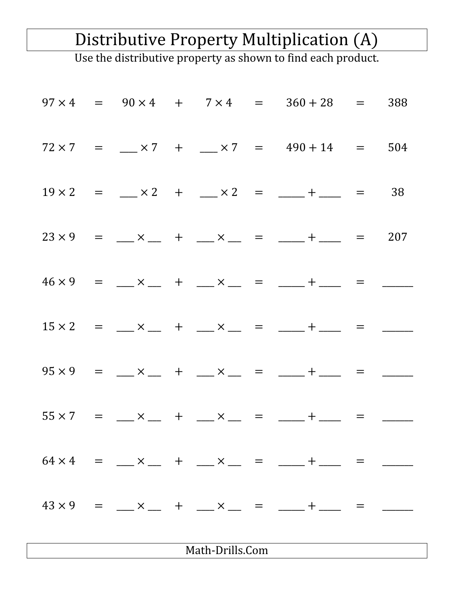## Distributive Property Multiplication (A)

Use the distributive property as shown to find each product.

|                 |  |  |  |  |  | $97 \times 4 = 90 \times 4 + 7 \times 4 = 360 + 28 = 388$                          |  |  |  |  |
|-----------------|--|--|--|--|--|------------------------------------------------------------------------------------|--|--|--|--|
|                 |  |  |  |  |  | $72 \times 7 = \_\_\times 7 + \_\_\times 7 = 490 + 14 = 504$                       |  |  |  |  |
|                 |  |  |  |  |  | $19 \times 2 =$ $\_\times 2 +$ $\_\times 2 =$ $\_\_ +$ $\_\_$ = 38                 |  |  |  |  |
|                 |  |  |  |  |  | $23 \times 9$ = $\_\_ \times \_\_ +$ $\_\_ \times \_\_ =$ = $\_\_ + \_\_ =$ = 207  |  |  |  |  |
|                 |  |  |  |  |  | $46 \times 9$ = $\_\_ \times \_\_ +$ $\_\_ \times \_\_ =$ = $\_\_ + \_\_$ = $\_\_$ |  |  |  |  |
|                 |  |  |  |  |  | $15 \times 2 =$ $\_\_ \times \_\_ +$ $\_\_ \times \_\_ =$ $\_\_ + \_\_ =$ $\_\_$   |  |  |  |  |
|                 |  |  |  |  |  | $95 \times 9$ = $\_\_ \times \_\_$ + $\_\_ \times \_\_$ = $\_\_ + \_\_$ = $\_\_$   |  |  |  |  |
|                 |  |  |  |  |  | $55 \times 7$ = $\_\_ \times \_\_$ + $\_\_ \times \_\_$ = $\_\_ + \_\_$ =          |  |  |  |  |
|                 |  |  |  |  |  | $64 \times 4$ = $\_\_ \times \_\_ +$ $\_\_ \times \_\_ =$ = $\_\_ + \_\_$ =        |  |  |  |  |
|                 |  |  |  |  |  | $43 \times 9$ = $\_\_ \times \_\_ +$ + $\_\_ \times \_\_ =$ = $\_\_ + \_\_$ =      |  |  |  |  |
| Math-Drills.Com |  |  |  |  |  |                                                                                    |  |  |  |  |